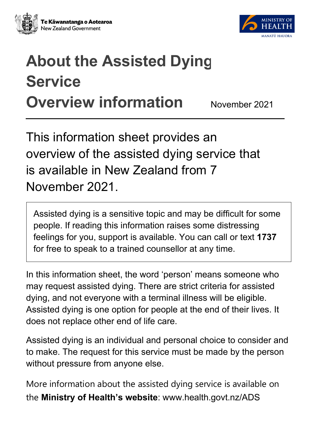



# **About the Assisted Dying Service Overview information** November 2021

# This information sheet provides an overview of the assisted dying service that is available in New Zealand from 7 November 2021.

Assisted dying is a sensitive topic and may be difficult for some people. If reading this information raises some distressing feelings for you, support is available. You can call or text **1737**  for free to speak to a trained counsellor at any time.

In this information sheet, the word 'person' means someone who may request assisted dying. There are strict criteria for assisted dying, and not everyone with a terminal illness will be eligible. Assisted dying is one option for people at the end of their lives. It does not replace other end of life care.

Assisted dying is an individual and personal choice to consider and to make. The request for this service must be made by the person without pressure from anyone else.

More information about the assisted dying service is available on the **[Ministry of Health's website](https://www.health.govt.nz/ADS)**: www.health.govt.nz/ADS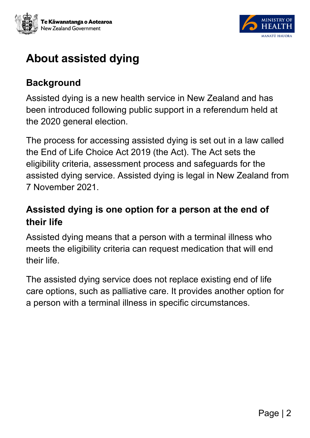



# **About assisted dying**

#### **Background**

Assisted dying is a new health service in New Zealand and has been introduced following public support in a referendum held at the 2020 general election.

The process for accessing assisted dying is set out in a law called the End of Life Choice Act 2019 (the Act). The Act sets the eligibility criteria, assessment process and safeguards for the assisted dying service. Assisted dying is legal in New Zealand from 7 November 2021.

#### **Assisted dying is one option for a person at the end of their life**

Assisted dying means that a person with a terminal illness who meets the eligibility criteria can request medication that will end their life.

The assisted dying service does not replace existing end of life care options, such as palliative care. It provides another option for a person with a terminal illness in specific circumstances.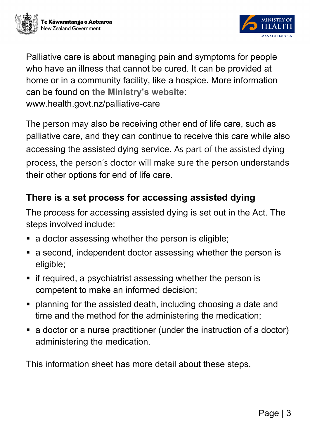



Palliative care is about managing pain and symptoms for people who have an illness that cannot be cured. It can be provided at home or in a community facility, like a hospice. More information can be found on **[the Ministry's website](https://www.health.govt.nz/your-health/services-and-support/health-care-services/palliative-care)**: www.health.govt.nz/palliative-care

The person may also be receiving other end of life care, such as palliative care, and they can continue to receive this care while also accessing the assisted dying service. As part of the assisted dying process, the person's doctor will make sure the person understands their other options for end of life care.

#### **There is a set process for accessing assisted dying**

The process for accessing assisted dying is set out in the Act. The steps involved include:

- a doctor assessing whether the person is eligible;
- a second, independent doctor assessing whether the person is eligible;
- **F** if required, a psychiatrist assessing whether the person is competent to make an informed decision;
- planning for the assisted death, including choosing a date and time and the method for the administering the medication;
- a doctor or a nurse practitioner (under the instruction of a doctor) administering the medication.

This information sheet has more detail about these steps.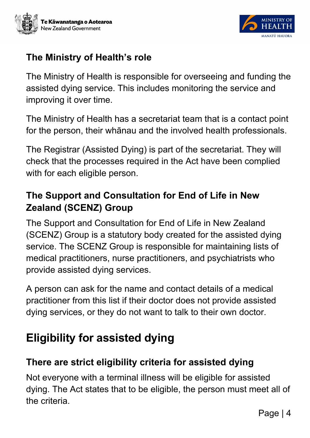



#### **The Ministry of Health's role**

The Ministry of Health is responsible for overseeing and funding the assisted dying service. This includes monitoring the service and improving it over time.

The Ministry of Health has a secretariat team that is a contact point for the person, their whānau and the involved health professionals.

The Registrar (Assisted Dying) is part of the secretariat. They will check that the processes required in the Act have been complied with for each eligible person.

#### **The Support and Consultation for End of Life in New Zealand (SCENZ) Group**

The Support and Consultation for End of Life in New Zealand (SCENZ) Group is a statutory body created for the assisted dying service. The SCENZ Group is responsible for maintaining lists of medical practitioners, nurse practitioners, and psychiatrists who provide assisted dying services.

A person can ask for the name and contact details of a medical practitioner from this list if their doctor does not provide assisted dying services, or they do not want to talk to their own doctor.

# **Eligibility for assisted dying**

#### **There are strict eligibility criteria for assisted dying**

Not everyone with a terminal illness will be eligible for assisted dying. The Act states that to be eligible, the person must meet all of the criteria.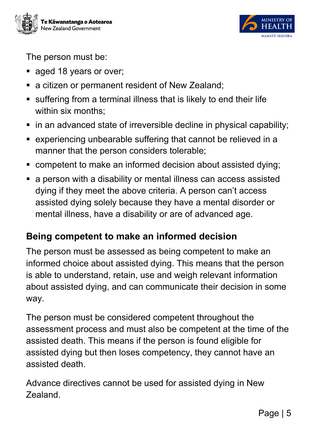



The person must be:

- aged 18 years or over;
- **a** citizen or permanent resident of New Zealand:
- suffering from a terminal illness that is likely to end their life within six months:
- **in an advanced state of irreversible decline in physical capability;**
- experiencing unbearable suffering that cannot be relieved in a manner that the person considers tolerable;
- competent to make an informed decision about assisted dying;
- a person with a disability or mental illness can access assisted dying if they meet the above criteria. A person can't access assisted dying solely because they have a mental disorder or mental illness, have a disability or are of advanced age.

#### **Being competent to make an informed decision**

The person must be assessed as being competent to make an informed choice about assisted dying. This means that the person is able to understand, retain, use and weigh relevant information about assisted dying, and can communicate their decision in some way.

The person must be considered competent throughout the assessment process and must also be competent at the time of the assisted death. This means if the person is found eligible for assisted dying but then loses competency, they cannot have an assisted death.

Advance directives cannot be used for assisted dying in New Zealand.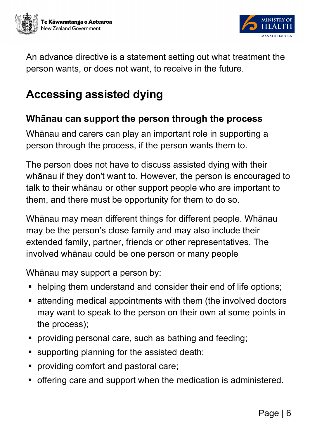



An advance directive is a statement setting out what treatment the person wants, or does not want, to receive in the future.

# **Accessing assisted dying**

#### **Whānau can support the person through the process**

Whānau and carers can play an important role in supporting a person through the process, if the person wants them to.

The person does not have to discuss assisted dying with their whānau if they don't want to. However, the person is encouraged to talk to their whānau or other support people who are important to them, and there must be opportunity for them to do so.

Whānau may mean different things for different people. Whānau may be the person's close family and may also include their extended family, partner, friends or other representatives. The involved whānau could be one person or many people.

Whānau may support a person by:

- helping them understand and consider their end of life options;
- attending medical appointments with them (the involved doctors may want to speak to the person on their own at some points in the process);
- **•** providing personal care, such as bathing and feeding;
- supporting planning for the assisted death;
- **•** providing comfort and pastoral care;
- offering care and support when the medication is administered.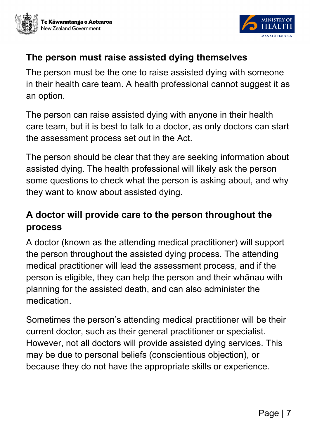



#### **The person must raise assisted dying themselves**

The person must be the one to raise assisted dying with someone in their health care team. A health professional cannot suggest it as an option.

The person can raise assisted dying with anyone in their health care team, but it is best to talk to a doctor, as only doctors can start the assessment process set out in the Act.

The person should be clear that they are seeking information about assisted dying. The health professional will likely ask the person some questions to check what the person is asking about, and why they want to know about assisted dying.

#### **A doctor will provide care to the person throughout the process**

A doctor (known as the attending medical practitioner) will support the person throughout the assisted dying process. The attending medical practitioner will lead the assessment process, and if the person is eligible, they can help the person and their whānau with planning for the assisted death, and can also administer the medication.

Sometimes the person's attending medical practitioner will be their current doctor, such as their general practitioner or specialist. However, not all doctors will provide assisted dying services. This may be due to personal beliefs (conscientious objection), or because they do not have the appropriate skills or experience.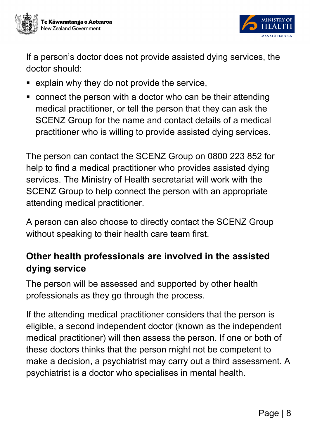



If a person's doctor does not provide assisted dying services, the doctor should:

- explain why they do not provide the service,
- connect the person with a doctor who can be their attending medical practitioner, or tell the person that they can ask the SCENZ Group for the name and contact details of a medical practitioner who is willing to provide assisted dying services.

The person can contact the SCENZ Group on 0800 223 852 for help to find a medical practitioner who provides assisted dying services. The Ministry of Health secretariat will work with the SCENZ Group to help connect the person with an appropriate attending medical practitioner.

A person can also choose to directly contact the SCENZ Group without speaking to their health care team first.

#### **Other health professionals are involved in the assisted dying service**

The person will be assessed and supported by other health professionals as they go through the process.

If the attending medical practitioner considers that the person is eligible, a second independent doctor (known as the independent medical practitioner) will then assess the person. If one or both of these doctors thinks that the person might not be competent to make a decision, a psychiatrist may carry out a third assessment. A psychiatrist is a doctor who specialises in mental health.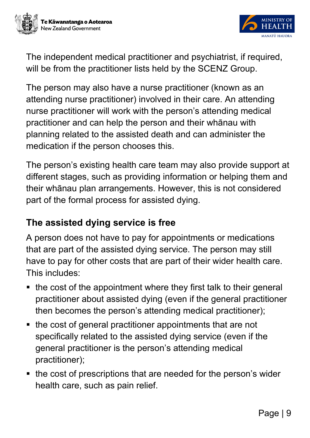



The independent medical practitioner and psychiatrist, if required, will be from the practitioner lists held by the SCENZ Group.

The person may also have a nurse practitioner (known as an attending nurse practitioner) involved in their care. An attending nurse practitioner will work with the person's attending medical practitioner and can help the person and their whānau with planning related to the assisted death and can administer the medication if the person chooses this.

The person's existing health care team may also provide support at different stages, such as providing information or helping them and their whānau plan arrangements. However, this is not considered part of the formal process for assisted dying.

#### **The assisted dying service is free**

A person does not have to pay for appointments or medications that are part of the assisted dying service. The person may still have to pay for other costs that are part of their wider health care. This includes:

- the cost of the appointment where they first talk to their general practitioner about assisted dying (even if the general practitioner then becomes the person's attending medical practitioner);
- the cost of general practitioner appointments that are not specifically related to the assisted dying service (even if the general practitioner is the person's attending medical practitioner);
- the cost of prescriptions that are needed for the person's wider health care, such as pain relief.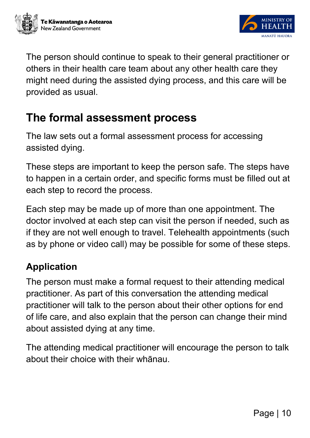



The person should continue to speak to their general practitioner or others in their health care team about any other health care they might need during the assisted dying process, and this care will be provided as usual.

### **The formal assessment process**

The law sets out a formal assessment process for accessing assisted dying.

These steps are important to keep the person safe. The steps have to happen in a certain order, and specific forms must be filled out at each step to record the process.

Each step may be made up of more than one appointment. The doctor involved at each step can visit the person if needed, such as if they are not well enough to travel. Telehealth appointments (such as by phone or video call) may be possible for some of these steps.

#### **Application**

The person must make a formal request to their attending medical practitioner. As part of this conversation the attending medical practitioner will talk to the person about their other options for end of life care, and also explain that the person can change their mind about assisted dying at any time.

The attending medical practitioner will encourage the person to talk about their choice with their whānau.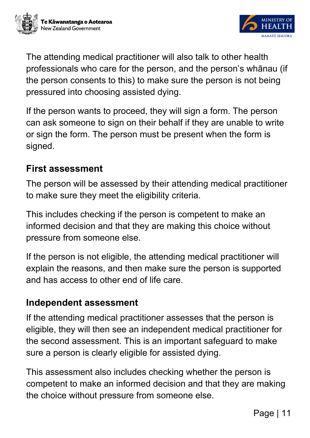



The attending medical practitioner will also talk to other health professionals who care for the person, and the person's whānau (if the person consents to this) to make sure the person is not being pressured into choosing assisted dying.

If the person wants to proceed, they will sign a form. The person can ask someone to sign on their behalf if they are unable to write or sign the form. The person must be present when the form is signed.

#### **First assessment**

The person will be assessed by their attending medical practitioner to make sure they meet the eligibility criteria.

This includes checking if the person is competent to make an informed decision and that they are making this choice without pressure from someone else.

If the person is not eligible, the attending medical practitioner will explain the reasons, and then make sure the person is supported and has access to other end of life care.

#### **Independent assessment**

If the attending medical practitioner assesses that the person is eligible, they will then see an independent medical practitioner for the second assessment. This is an important safeguard to make sure a person is clearly eligible for assisted dying.

This assessment also includes checking whether the person is competent to make an informed decision and that they are making the choice without pressure from someone else.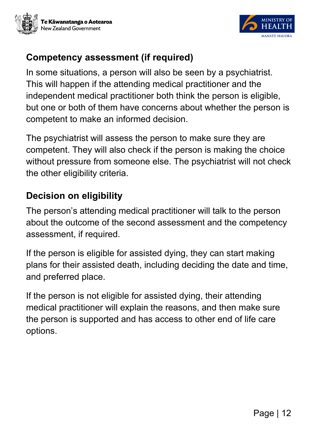



#### **Competency assessment (if required)**

In some situations, a person will also be seen by a psychiatrist. This will happen if the attending medical practitioner and the independent medical practitioner both think the person is eligible, but one or both of them have concerns about whether the person is competent to make an informed decision.

The psychiatrist will assess the person to make sure they are competent. They will also check if the person is making the choice without pressure from someone else. The psychiatrist will not check the other eligibility criteria.

#### **Decision on eligibility**

The person's attending medical practitioner will talk to the person about the outcome of the second assessment and the competency assessment, if required.

If the person is eligible for assisted dying, they can start making plans for their assisted death, including deciding the date and time, and preferred place.

If the person is not eligible for assisted dying, their attending medical practitioner will explain the reasons, and then make sure the person is supported and has access to other end of life care options.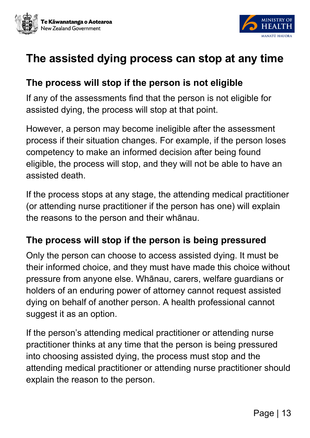



### **The assisted dying process can stop at any time**

#### **The process will stop if the person is not eligible**

If any of the assessments find that the person is not eligible for assisted dying, the process will stop at that point.

However, a person may become ineligible after the assessment process if their situation changes. For example, if the person loses competency to make an informed decision after being found eligible, the process will stop, and they will not be able to have an assisted death.

If the process stops at any stage, the attending medical practitioner (or attending nurse practitioner if the person has one) will explain the reasons to the person and their whānau.

#### **The process will stop if the person is being pressured**

Only the person can choose to access assisted dying. It must be their informed choice, and they must have made this choice without pressure from anyone else. Whānau, carers, welfare guardians or holders of an enduring power of attorney cannot request assisted dying on behalf of another person. A health professional cannot suggest it as an option.

If the person's attending medical practitioner or attending nurse practitioner thinks at any time that the person is being pressured into choosing assisted dying, the process must stop and the attending medical practitioner or attending nurse practitioner should explain the reason to the person.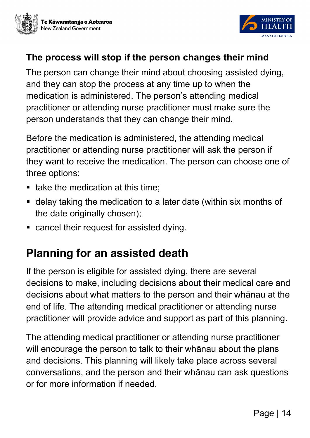



#### **The process will stop if the person changes their mind**

The person can change their mind about choosing assisted dying, and they can stop the process at any time up to when the medication is administered. The person's attending medical practitioner or attending nurse practitioner must make sure the person understands that they can change their mind.

Before the medication is administered, the attending medical practitioner or attending nurse practitioner will ask the person if they want to receive the medication. The person can choose one of three options:

- $\blacksquare$  take the medication at this time:
- delay taking the medication to a later date (within six months of the date originally chosen);
- cancel their request for assisted dying.

## **Planning for an assisted death**

If the person is eligible for assisted dying, there are several decisions to make, including decisions about their medical care and decisions about what matters to the person and their whānau at the end of life. The attending medical practitioner or attending nurse practitioner will provide advice and support as part of this planning.

The attending medical practitioner or attending nurse practitioner will encourage the person to talk to their whānau about the plans and decisions. This planning will likely take place across several conversations, and the person and their whānau can ask questions or for more information if needed.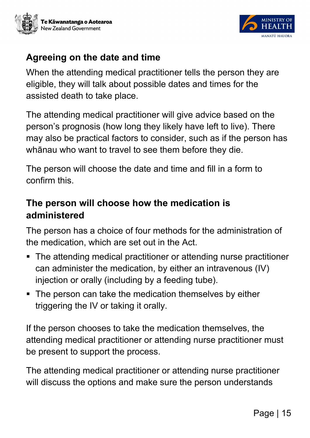



#### **Agreeing on the date and time**

When the attending medical practitioner tells the person they are eligible, they will talk about possible dates and times for the assisted death to take place.

The attending medical practitioner will give advice based on the person's prognosis (how long they likely have left to live). There may also be practical factors to consider, such as if the person has whānau who want to travel to see them before they die.

The person will choose the date and time and fill in a form to confirm this.

#### **The person will choose how the medication is administered**

The person has a choice of four methods for the administration of the medication, which are set out in the Act.

- The attending medical practitioner or attending nurse practitioner can administer the medication, by either an intravenous (IV) injection or orally (including by a feeding tube).
- The person can take the medication themselves by either triggering the IV or taking it orally.

If the person chooses to take the medication themselves, the attending medical practitioner or attending nurse practitioner must be present to support the process.

The attending medical practitioner or attending nurse practitioner will discuss the options and make sure the person understands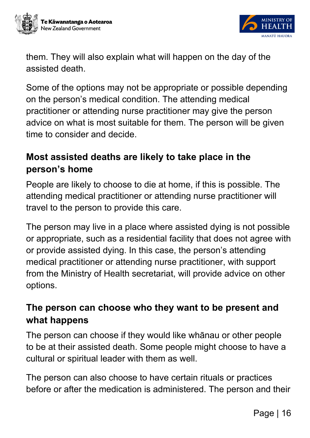



them. They will also explain what will happen on the day of the assisted death.

Some of the options may not be appropriate or possible depending on the person's medical condition. The attending medical practitioner or attending nurse practitioner may give the person advice on what is most suitable for them. The person will be given time to consider and decide.

#### **Most assisted deaths are likely to take place in the person's home**

People are likely to choose to die at home, if this is possible. The attending medical practitioner or attending nurse practitioner will travel to the person to provide this care.

The person may live in a place where assisted dying is not possible or appropriate, such as a residential facility that does not agree with or provide assisted dying. In this case, the person's attending medical practitioner or attending nurse practitioner, with support from the Ministry of Health secretariat, will provide advice on other options.

#### **The person can choose who they want to be present and what happens**

The person can choose if they would like whānau or other people to be at their assisted death. Some people might choose to have a cultural or spiritual leader with them as well.

The person can also choose to have certain rituals or practices before or after the medication is administered. The person and their